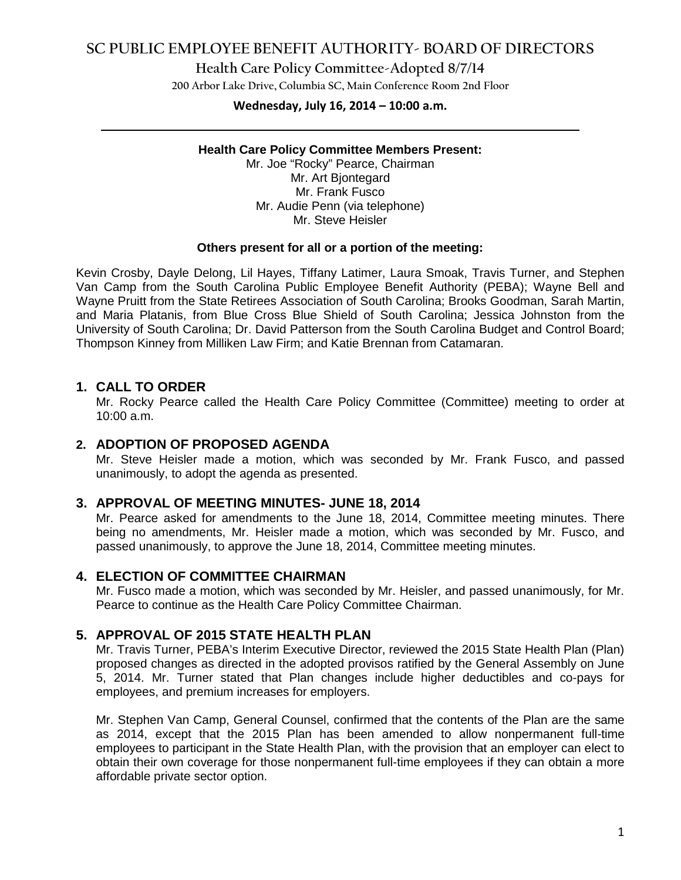# **SC PUBLIC EMPLOYEE BENEFIT AUTHORITY- BOARD OF DIRECTORS**

### **Health Care Policy Committee-Adopted 8/7/14**

**200 Arbor Lake Drive, Columbia SC, Main Conference Room 2nd Floor**

# **Wednesday, July 16, 2014 – 10:00 a.m. \_\_\_\_\_\_\_\_\_\_\_\_\_\_\_\_\_\_\_\_\_\_\_\_\_\_\_\_\_\_\_\_\_\_\_\_\_\_\_\_\_\_\_\_\_\_\_\_\_\_\_\_\_\_\_\_\_\_\_\_\_\_\_\_\_\_\_\_\_\_\_\_**

#### **Health Care Policy Committee Members Present:**

Mr. Joe "Rocky" Pearce, Chairman Mr. Art Bjontegard Mr. Frank Fusco Mr. Audie Penn (via telephone) Mr. Steve Heisler

#### **Others present for all or a portion of the meeting:**

Kevin Crosby, Dayle Delong, Lil Hayes, Tiffany Latimer, Laura Smoak, Travis Turner, and Stephen Van Camp from the South Carolina Public Employee Benefit Authority (PEBA); Wayne Bell and Wayne Pruitt from the State Retirees Association of South Carolina; Brooks Goodman, Sarah Martin, and Maria Platanis, from Blue Cross Blue Shield of South Carolina; Jessica Johnston from the University of South Carolina; Dr. David Patterson from the South Carolina Budget and Control Board; Thompson Kinney from Milliken Law Firm; and Katie Brennan from Catamaran.

### **1. CALL TO ORDER**

Mr. Rocky Pearce called the Health Care Policy Committee (Committee) meeting to order at 10:00 a.m.

### **2. ADOPTION OF PROPOSED AGENDA**

Mr. Steve Heisler made a motion, which was seconded by Mr. Frank Fusco, and passed unanimously, to adopt the agenda as presented.

### **3. APPROVAL OF MEETING MINUTES- JUNE 18, 2014**

Mr. Pearce asked for amendments to the June 18, 2014, Committee meeting minutes. There being no amendments, Mr. Heisler made a motion, which was seconded by Mr. Fusco, and passed unanimously, to approve the June 18, 2014, Committee meeting minutes.

### **4. ELECTION OF COMMITTEE CHAIRMAN**

Mr. Fusco made a motion, which was seconded by Mr. Heisler, and passed unanimously, for Mr. Pearce to continue as the Health Care Policy Committee Chairman.

### **5. APPROVAL OF 2015 STATE HEALTH PLAN**

Mr. Travis Turner, PEBA's Interim Executive Director, reviewed the 2015 State Health Plan (Plan) proposed changes as directed in the adopted provisos ratified by the General Assembly on June 5, 2014. Mr. Turner stated that Plan changes include higher deductibles and co-pays for employees, and premium increases for employers.

Mr. Stephen Van Camp, General Counsel, confirmed that the contents of the Plan are the same as 2014, except that the 2015 Plan has been amended to allow nonpermanent full-time employees to participant in the State Health Plan, with the provision that an employer can elect to obtain their own coverage for those nonpermanent full-time employees if they can obtain a more affordable private sector option.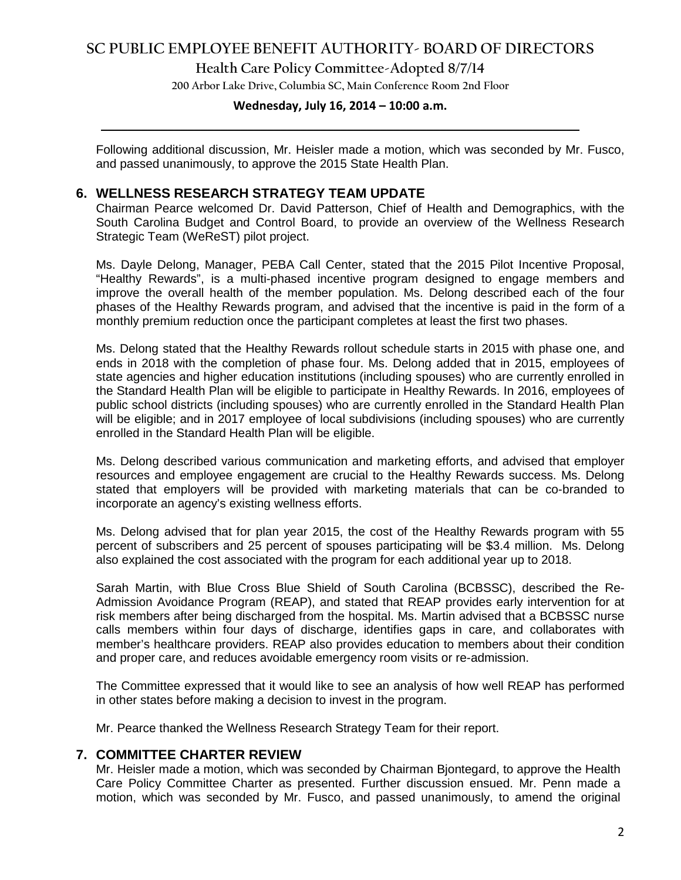# **SC PUBLIC EMPLOYEE BENEFIT AUTHORITY- BOARD OF DIRECTORS**

### **Health Care Policy Committee-Adopted 8/7/14**

**200 Arbor Lake Drive, Columbia SC, Main Conference Room 2nd Floor**

# **Wednesday, July 16, 2014 – 10:00 a.m. \_\_\_\_\_\_\_\_\_\_\_\_\_\_\_\_\_\_\_\_\_\_\_\_\_\_\_\_\_\_\_\_\_\_\_\_\_\_\_\_\_\_\_\_\_\_\_\_\_\_\_\_\_\_\_\_\_\_\_\_\_\_\_\_\_\_\_\_\_\_\_\_**

Following additional discussion, Mr. Heisler made a motion, which was seconded by Mr. Fusco, and passed unanimously, to approve the 2015 State Health Plan.

### **6. WELLNESS RESEARCH STRATEGY TEAM UPDATE**

Chairman Pearce welcomed Dr. David Patterson, Chief of Health and Demographics, with the South Carolina Budget and Control Board, to provide an overview of the Wellness Research Strategic Team (WeReST) pilot project.

Ms. Dayle Delong, Manager, PEBA Call Center, stated that the 2015 Pilot Incentive Proposal, "Healthy Rewards", is a multi-phased incentive program designed to engage members and improve the overall health of the member population. Ms. Delong described each of the four phases of the Healthy Rewards program, and advised that the incentive is paid in the form of a monthly premium reduction once the participant completes at least the first two phases.

Ms. Delong stated that the Healthy Rewards rollout schedule starts in 2015 with phase one, and ends in 2018 with the completion of phase four. Ms. Delong added that in 2015, employees of state agencies and higher education institutions (including spouses) who are currently enrolled in the Standard Health Plan will be eligible to participate in Healthy Rewards. In 2016, employees of public school districts (including spouses) who are currently enrolled in the Standard Health Plan will be eligible; and in 2017 employee of local subdivisions (including spouses) who are currently enrolled in the Standard Health Plan will be eligible.

Ms. Delong described various communication and marketing efforts, and advised that employer resources and employee engagement are crucial to the Healthy Rewards success. Ms. Delong stated that employers will be provided with marketing materials that can be co-branded to incorporate an agency's existing wellness efforts.

Ms. Delong advised that for plan year 2015, the cost of the Healthy Rewards program with 55 percent of subscribers and 25 percent of spouses participating will be \$3.4 million. Ms. Delong also explained the cost associated with the program for each additional year up to 2018.

Sarah Martin, with Blue Cross Blue Shield of South Carolina (BCBSSC), described the Re-Admission Avoidance Program (REAP), and stated that REAP provides early intervention for at risk members after being discharged from the hospital. Ms. Martin advised that a BCBSSC nurse calls members within four days of discharge, identifies gaps in care, and collaborates with member's healthcare providers. REAP also provides education to members about their condition and proper care, and reduces avoidable emergency room visits or re-admission.

The Committee expressed that it would like to see an analysis of how well REAP has performed in other states before making a decision to invest in the program.

Mr. Pearce thanked the Wellness Research Strategy Team for their report.

#### **7. COMMITTEE CHARTER REVIEW**

Mr. Heisler made a motion, which was seconded by Chairman Bjontegard, to approve the Health Care Policy Committee Charter as presented. Further discussion ensued. Mr. Penn made a motion, which was seconded by Mr. Fusco, and passed unanimously, to amend the original